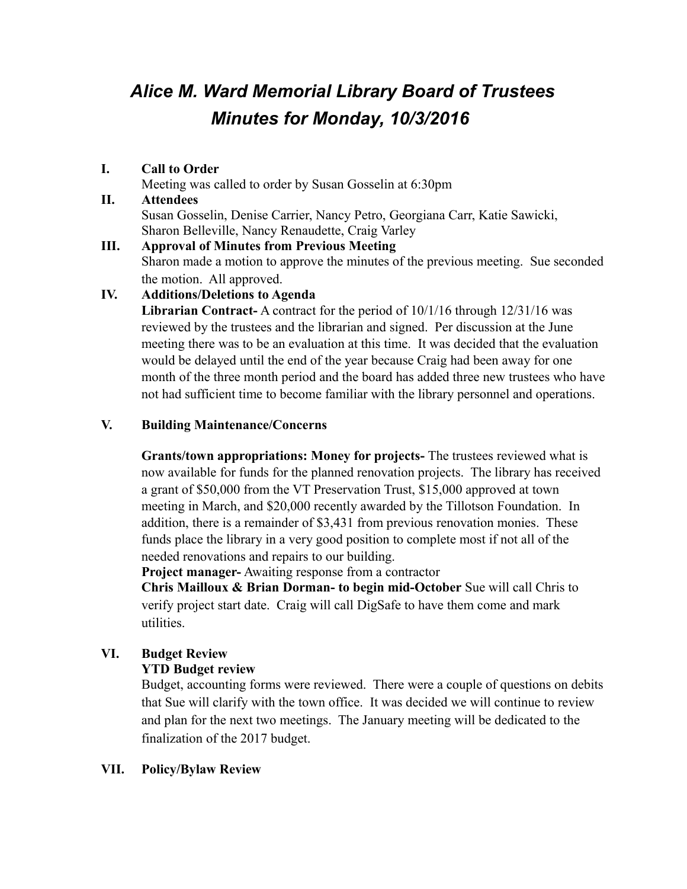# *Alice M. Ward Memorial Library Board of Trustees Minutes for Monday, 10/3/2016*

## **I. Call to Order**

Meeting was called to order by Susan Gosselin at 6:30pm

# **II. Attendees** Susan Gosselin, Denise Carrier, Nancy Petro, Georgiana Carr, Katie Sawicki, Sharon Belleville, Nancy Renaudette, Craig Varley

#### **III. Approval of Minutes from Previous Meeting** Sharon made a motion to approve the minutes of the previous meeting. Sue seconded the motion. All approved.

# **IV. Additions/Deletions to Agenda**

**Librarian Contract-** A contract for the period of 10/1/16 through 12/31/16 was reviewed by the trustees and the librarian and signed. Per discussion at the June meeting there was to be an evaluation at this time. It was decided that the evaluation would be delayed until the end of the year because Craig had been away for one month of the three month period and the board has added three new trustees who have not had sufficient time to become familiar with the library personnel and operations.

# **V. Building Maintenance/Concerns**

**Grants/town appropriations: Money for projects-** The trustees reviewed what is now available for funds for the planned renovation projects. The library has received a grant of \$50,000 from the VT Preservation Trust, \$15,000 approved at town meeting in March, and \$20,000 recently awarded by the Tillotson Foundation. In addition, there is a remainder of \$3,431 from previous renovation monies. These funds place the library in a very good position to complete most if not all of the needed renovations and repairs to our building.

**Project manager-** Awaiting response from a contractor

**Chris Mailloux & Brian Dorman- to begin mid-October** Sue will call Chris to verify project start date. Craig will call DigSafe to have them come and mark utilities.

# **VI. Budget Review**

# **YTD Budget review**

Budget, accounting forms were reviewed. There were a couple of questions on debits that Sue will clarify with the town office. It was decided we will continue to review and plan for the next two meetings. The January meeting will be dedicated to the finalization of the 2017 budget.

## **VII. Policy/Bylaw Review**